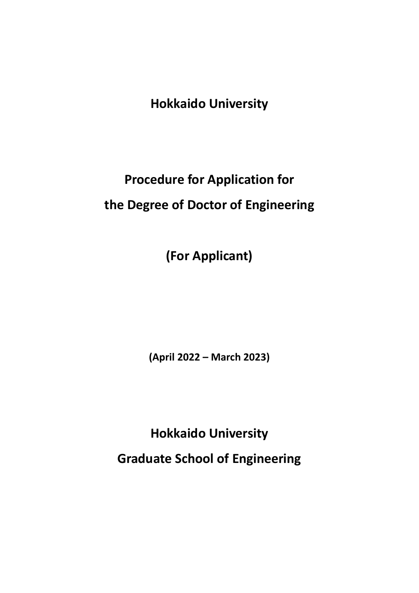**Hokkaido University**

# **Procedure for Application for the Degree of Doctor of Engineering**

**(For Applicant)**

**(April 2022 – March 2023)**

**Hokkaido University Graduate School of Engineering**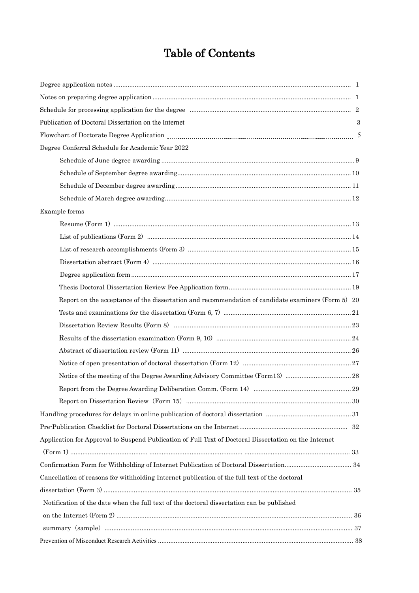## Table of Contents

| Degree Conferral Schedule for Academic Year 2022                                                      |  |
|-------------------------------------------------------------------------------------------------------|--|
|                                                                                                       |  |
|                                                                                                       |  |
|                                                                                                       |  |
|                                                                                                       |  |
| Example forms                                                                                         |  |
|                                                                                                       |  |
|                                                                                                       |  |
|                                                                                                       |  |
|                                                                                                       |  |
|                                                                                                       |  |
|                                                                                                       |  |
| Report on the acceptance of the dissertation and recommendation of candidate examiners (Form 5) 20    |  |
|                                                                                                       |  |
|                                                                                                       |  |
|                                                                                                       |  |
|                                                                                                       |  |
|                                                                                                       |  |
|                                                                                                       |  |
|                                                                                                       |  |
|                                                                                                       |  |
|                                                                                                       |  |
|                                                                                                       |  |
| Application for Approval to Suspend Publication of Full Text of Doctoral Dissertation on the Internet |  |
|                                                                                                       |  |
|                                                                                                       |  |
| Cancellation of reasons for withholding Internet publication of the full text of the doctoral         |  |
|                                                                                                       |  |
| Notification of the date when the full text of the doctoral dissertation can be published             |  |
|                                                                                                       |  |
|                                                                                                       |  |
|                                                                                                       |  |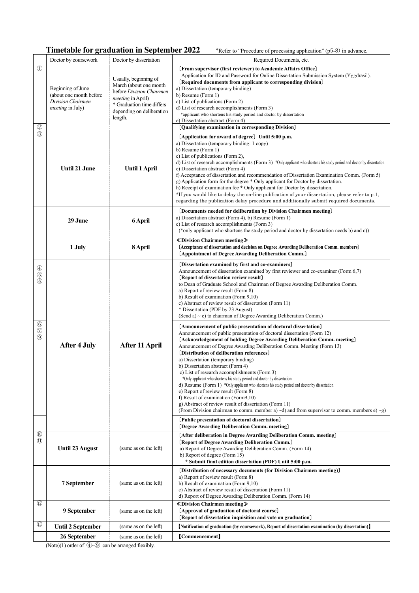#### **Timetable for graduation in September 2022** \*Refer to "Procedure of processing application" (p5-8) in advance.

|                                                                                            | Doctor by coursework                                                                          | Doctor by dissertation                                                                                                                                                       | Required Documents, etc.                                                                                                                                                                                                                                                                                                                                                                                                                                                                                                                                                                                                                                                                                                                                                                                                                                                                                                                                                                                                                                                                                                                                                                                                                                                                                                                                                                                                                                                         |
|--------------------------------------------------------------------------------------------|-----------------------------------------------------------------------------------------------|------------------------------------------------------------------------------------------------------------------------------------------------------------------------------|----------------------------------------------------------------------------------------------------------------------------------------------------------------------------------------------------------------------------------------------------------------------------------------------------------------------------------------------------------------------------------------------------------------------------------------------------------------------------------------------------------------------------------------------------------------------------------------------------------------------------------------------------------------------------------------------------------------------------------------------------------------------------------------------------------------------------------------------------------------------------------------------------------------------------------------------------------------------------------------------------------------------------------------------------------------------------------------------------------------------------------------------------------------------------------------------------------------------------------------------------------------------------------------------------------------------------------------------------------------------------------------------------------------------------------------------------------------------------------|
| $\mathcal{D}$<br>$^{\circledR}$                                                            | Beginning of June<br>(about one month before)<br>Division Chairmen<br><i>meeting</i> in July) | Usually, beginning of<br>March (about one month<br>before Division Chairmen<br><i>meeting</i> in April)<br>* Graduation time differs<br>depending on deliberation<br>length. | [From supervisor (first reviewer) to Academic Affairs Office]<br>Application for ID and Password for Online Dissertation Submission System (Yggdrasil).<br>[Required documents from applicant to corresponding division]<br>a) Dissertation (temporary binding)<br>b) Resume (Form 1)<br>c) List of publications (Form 2)<br>d) List of research accomplishments (Form 3)<br>*applicant who shortens his study period and doctor by dissertation<br>e) Dissertation abstract (Form 4)<br>[Qualifying examination in corresponding Division]                                                                                                                                                                                                                                                                                                                                                                                                                                                                                                                                                                                                                                                                                                                                                                                                                                                                                                                                      |
| $\circledS$                                                                                | <b>Until 21 June</b>                                                                          | <b>Until 1 April</b>                                                                                                                                                         | [Application for award of degree] Until 5:00 p.m.<br>a) Dissertation (temporary binding: 1 copy)<br>b) Resume (Form 1)<br>c) List of publications (Form 2),<br>d) List of research accomplishments (Form 3) *Only applicant who shortens his study period and doctor by dissertation<br>e) Dissertation abstract (Form 4)<br>f) Acceptance of dissertation and recommendation of Dissertation Examination Comm. (Form 5)<br>g) Application form for the degree * Only applicant for Doctor by dissertation.<br>h) Receipt of examination fee * Only applicant for Doctor by dissertation.<br>*If you would like to delay the on-line publication of your dissertation, please refer to p.1,<br>regarding the publication delay procedure and additionally submit required documents.                                                                                                                                                                                                                                                                                                                                                                                                                                                                                                                                                                                                                                                                                             |
|                                                                                            | 29 June                                                                                       | 6 April                                                                                                                                                                      | [Documents needed for deliberation by Division Chairmen meeting]<br>a) Dissertation abstract (Form 4), b) Resume (Form 1)<br>c) List of research accomplishments (Form 3)<br>(*only applicant who shortens the study period and doctor by dissertation needs b) and c))                                                                                                                                                                                                                                                                                                                                                                                                                                                                                                                                                                                                                                                                                                                                                                                                                                                                                                                                                                                                                                                                                                                                                                                                          |
|                                                                                            | 1 July                                                                                        | 8 April                                                                                                                                                                      | <b>≪Division Chairmen meeting》</b><br>[Acceptance of dissertation and decision on Degree Awarding Deliberation Comm. members]<br>[Appointment of Degree Awarding Deliberation Comm.]                                                                                                                                                                                                                                                                                                                                                                                                                                                                                                                                                                                                                                                                                                                                                                                                                                                                                                                                                                                                                                                                                                                                                                                                                                                                                             |
| $^{\circledA}$<br>$\circledS$<br>(8)<br>$\circledcirc$<br>$\circledcirc$<br>$\circledcirc$ | <b>After 4 July</b>                                                                           | After 11 April                                                                                                                                                               | (Dissertation examined by first and co-examiners)<br>Announcement of dissertation examined by first reviewer and co-examiner (Form 6,7)<br>[Report of dissertation review result]<br>to Dean of Graduate School and Chairman of Degree Awarding Deliberation Comm.<br>a) Report of review result (Form 8)<br>b) Result of examination (Form 9,10)<br>c) Abstract of review result of dissertation (Form 11)<br>* Dissertation (PDF by 23 August)<br>(Send a) $\sim$ c) to chairman of Degree Awarding Deliberation Comm.)<br>[Announcement of public presentation of doctoral dissertation]<br>Announcement of public presentation of doctoral dissertation (Form 12)<br>[Acknowledgement of holding Degree Awarding Deliberation Comm. meeting]<br>Announcement of Degree Awarding Deliberation Comm. Meeting (Form 13)<br>[Distribution of deliberation references]<br>a) Dissertation (temporary binding)<br>b) Dissertation abstract (Form 4)<br>c) List of research accomplishments (Form 3)<br>*Only applicant who shortens his study period and doctor by dissertation<br>d) Resume (Form 1) *Only applicant who shortens his study period and doctor by dissertation<br>e) Report of review result (Form 8)<br>f) Result of examination (Form9,10)<br>g) Abstract of review result of dissertation (Form 11)<br>(From Division chairman to comm. member a) $\sim$ d) and from supervisor to comm. members e) $\sim$ g)<br>[Public presentation of doctoral dissertation] |
| $\left( 10 \right)$<br>(1)                                                                 | <b>Until 23 August</b>                                                                        | (same as on the left)                                                                                                                                                        | [Degree Awarding Deliberation Comm. meeting]<br>[After deliberation in Degree Awarding Deliberation Comm. meeting]<br>[Report of Degree Awarding Deliberation Comm.]<br>a) Report of Degree Awarding Deliberation Comm. (Form 14)<br>b) Report of degree (Form 15)<br>* Submit final edition dissertation (PDF) Until 5:00 p.m.                                                                                                                                                                                                                                                                                                                                                                                                                                                                                                                                                                                                                                                                                                                                                                                                                                                                                                                                                                                                                                                                                                                                                  |
|                                                                                            | 7 September                                                                                   | (same as on the left)                                                                                                                                                        | [Distribution of necessary documents (for Division Chairmen meeting)]<br>a) Report of review result (Form 8)<br>b) Result of examination (Form 9,10)<br>c) Abstract of review result of dissertation (Form 11)<br>d) Report of Degree Awarding Deliberation Comm. (Form 14)                                                                                                                                                                                                                                                                                                                                                                                                                                                                                                                                                                                                                                                                                                                                                                                                                                                                                                                                                                                                                                                                                                                                                                                                      |
| $\left( 12\right)$                                                                         | 9 September                                                                                   | (same as on the left)                                                                                                                                                        | <b>≪Division Chairmen meeting》</b><br>[Approval of graduation of doctoral course]<br>[Report of dissertation inquisition and vote on graduation]                                                                                                                                                                                                                                                                                                                                                                                                                                                                                                                                                                                                                                                                                                                                                                                                                                                                                                                                                                                                                                                                                                                                                                                                                                                                                                                                 |
| $\circled{1}$                                                                              | <b>Until 2 September</b>                                                                      | (same as on the left)                                                                                                                                                        | [Notification of graduation (by coursework), Report of dissertation examination (by dissertation)]                                                                                                                                                                                                                                                                                                                                                                                                                                                                                                                                                                                                                                                                                                                                                                                                                                                                                                                                                                                                                                                                                                                                                                                                                                                                                                                                                                               |
|                                                                                            | 26 September                                                                                  | (same as on the left)                                                                                                                                                        | [Commencement]                                                                                                                                                                                                                                                                                                                                                                                                                                                                                                                                                                                                                                                                                                                                                                                                                                                                                                                                                                                                                                                                                                                                                                                                                                                                                                                                                                                                                                                                   |

(Note)(1) order of  $\bigoplus$   $\bigoplus$  can be arranged flexibly.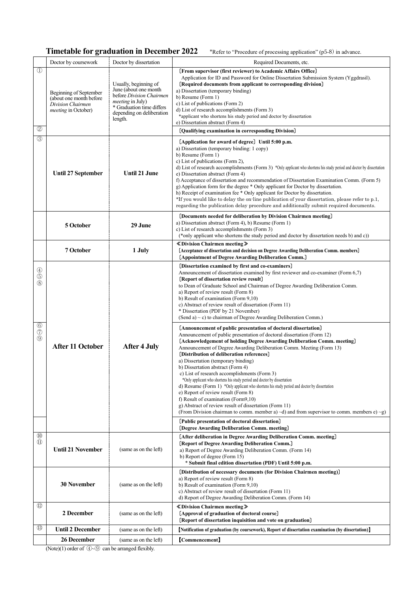#### **Timetable for graduation in December 2022** \*Refer to "Procedure of processing application" (p5-8) in advance.

|                                                                                          | Doctor by coursework                                                                                 | Doctor by dissertation                                                                                                                                                     | Required Documents, etc.                                                                                                                                                                                                                                                                                                                                                                                                                                                                                                                                                                                                                                                                                                                                                                                                                                                                                                                                                                                                                                                                                                                                                                                                                                                                                                                                                                                                         |
|------------------------------------------------------------------------------------------|------------------------------------------------------------------------------------------------------|----------------------------------------------------------------------------------------------------------------------------------------------------------------------------|----------------------------------------------------------------------------------------------------------------------------------------------------------------------------------------------------------------------------------------------------------------------------------------------------------------------------------------------------------------------------------------------------------------------------------------------------------------------------------------------------------------------------------------------------------------------------------------------------------------------------------------------------------------------------------------------------------------------------------------------------------------------------------------------------------------------------------------------------------------------------------------------------------------------------------------------------------------------------------------------------------------------------------------------------------------------------------------------------------------------------------------------------------------------------------------------------------------------------------------------------------------------------------------------------------------------------------------------------------------------------------------------------------------------------------|
| $\textcircled{\scriptsize{1}}$<br>$^{\circledR}$                                         | Beginning of September<br>(about one month before<br>Division Chairmen<br><i>meeting</i> in October) | Usually, beginning of<br>June (about one month<br>before Division Chairmen<br><i>meeting</i> in July)<br>* Graduation time differs<br>depending on deliberation<br>length. | [From supervisor (first reviewer) to Academic Affairs Office]<br>Application for ID and Password for Online Dissertation Submission System (Yggdrasil).<br>[Required documents from applicant to corresponding division]<br>a) Dissertation (temporary binding)<br>b) Resume (Form 1)<br>c) List of publications (Form 2)<br>d) List of research accomplishments (Form 3)<br>*applicant who shortens his study period and doctor by dissertation<br>e) Dissertation abstract (Form 4)<br>[Qualifying examination in corresponding Division]                                                                                                                                                                                                                                                                                                                                                                                                                                                                                                                                                                                                                                                                                                                                                                                                                                                                                      |
| (3)                                                                                      | <b>Until 27 September</b>                                                                            | <b>Until 21 June</b>                                                                                                                                                       | [Application for award of degree] Until 5:00 p.m.<br>a) Dissertation (temporary binding: 1 copy)<br>b) Resume (Form 1)<br>c) List of publications (Form 2),<br>d) List of research accomplishments (Form 3) *Only applicant who shortens his study period and doctor by dissertation<br>e) Dissertation abstract (Form 4)<br>f) Acceptance of dissertation and recommendation of Dissertation Examination Comm. (Form 5)<br>g) Application form for the degree * Only applicant for Doctor by dissertation.<br>h) Receipt of examination fee * Only applicant for Doctor by dissertation.<br>*If you would like to delay the on-line publication of your dissertation, please refer to p.1,<br>regarding the publication delay procedure and additionally submit required documents.                                                                                                                                                                                                                                                                                                                                                                                                                                                                                                                                                                                                                                             |
|                                                                                          | 5 October                                                                                            | 29 June                                                                                                                                                                    | [Documents needed for deliberation by Division Chairmen meeting]<br>a) Dissertation abstract (Form 4), b) Resume (Form 1)<br>c) List of research accomplishments (Form 3)<br>(*only applicant who shortens the study period and doctor by dissertation needs b) and c))                                                                                                                                                                                                                                                                                                                                                                                                                                                                                                                                                                                                                                                                                                                                                                                                                                                                                                                                                                                                                                                                                                                                                          |
|                                                                                          | 7 October                                                                                            | 1 July                                                                                                                                                                     | <b>≪Division Chairmen meeting》</b><br>[Acceptance of dissertation and decision on Degree Awarding Deliberation Comm. members]<br>[Appointment of Degree Awarding Deliberation Comm.]                                                                                                                                                                                                                                                                                                                                                                                                                                                                                                                                                                                                                                                                                                                                                                                                                                                                                                                                                                                                                                                                                                                                                                                                                                             |
| $\circled{4}$<br>$\circledS$<br>(8)<br>$\circledcirc$<br>$\circledcirc$<br>$\circled{0}$ | <b>After 11 October</b>                                                                              | <b>After 4 July</b>                                                                                                                                                        | [Dissertation examined by first and co-examiners]<br>Announcement of dissertation examined by first reviewer and co-examiner (Form 6,7)<br>[Report of dissertation review result]<br>to Dean of Graduate School and Chairman of Degree Awarding Deliberation Comm.<br>a) Report of review result (Form 8)<br>b) Result of examination (Form 9,10)<br>c) Abstract of review result of dissertation (Form 11)<br>* Dissertation (PDF by 21 November)<br>(Send a) $\sim$ c) to chairman of Degree Awarding Deliberation Comm.)<br>[Announcement of public presentation of doctoral dissertation]<br>Announcement of public presentation of doctoral dissertation (Form 12)<br>[Acknowledgement of holding Degree Awarding Deliberation Comm. meeting]<br>Announcement of Degree Awarding Deliberation Comm. Meeting (Form 13)<br>[Distribution of deliberation references]<br>a) Dissertation (temporary binding)<br>b) Dissertation abstract (Form 4)<br>c) List of research accomplishments (Form 3)<br>*Only applicant who shortens his study period and doctor by dissertation<br>d) Resume (Form 1) *Only applicant who shortens his study period and doctor by dissertation<br>e) Report of review result (Form 8)<br>f) Result of examination (Form9,10)<br>g) Abstract of review result of dissertation (Form 11)<br>(From Division chairman to comm. member a) $\sim$ d) and from supervisor to comm. members e) $\sim$ g) |
|                                                                                          |                                                                                                      |                                                                                                                                                                            | [Public presentation of doctoral dissertation]<br>[Degree Awarding Deliberation Comm. meeting]                                                                                                                                                                                                                                                                                                                                                                                                                                                                                                                                                                                                                                                                                                                                                                                                                                                                                                                                                                                                                                                                                                                                                                                                                                                                                                                                   |
| $\left( 10 \right)$<br>$\textcircled{\scriptsize{1}}$                                    | <b>Until 21 November</b>                                                                             | (same as on the left)                                                                                                                                                      | [After deliberation in Degree Awarding Deliberation Comm. meeting]<br>[Report of Degree Awarding Deliberation Comm.]<br>a) Report of Degree Awarding Deliberation Comm. (Form 14)<br>b) Report of degree (Form 15)<br>* Submit final edition dissertation (PDF) Until 5:00 p.m.                                                                                                                                                                                                                                                                                                                                                                                                                                                                                                                                                                                                                                                                                                                                                                                                                                                                                                                                                                                                                                                                                                                                                  |
|                                                                                          | <b>30 November</b>                                                                                   | (same as on the left)                                                                                                                                                      | [Distribution of necessary documents (for Division Chairmen meeting)]<br>a) Report of review result (Form 8)<br>b) Result of examination (Form 9,10)<br>c) Abstract of review result of dissertation (Form 11)<br>d) Report of Degree Awarding Deliberation Comm. (Form 14)                                                                                                                                                                                                                                                                                                                                                                                                                                                                                                                                                                                                                                                                                                                                                                                                                                                                                                                                                                                                                                                                                                                                                      |
| (12)                                                                                     | 2 December                                                                                           | (same as on the left)                                                                                                                                                      | <b>≪Division Chairmen meeting》</b><br>[Approval of graduation of doctoral course]<br>[Report of dissertation inquisition and vote on graduation]                                                                                                                                                                                                                                                                                                                                                                                                                                                                                                                                                                                                                                                                                                                                                                                                                                                                                                                                                                                                                                                                                                                                                                                                                                                                                 |
| $\circled{1}$                                                                            | <b>Until 2 December</b>                                                                              | (same as on the left)                                                                                                                                                      | [Notification of graduation (by coursework), Report of dissertation examination (by dissertation)]                                                                                                                                                                                                                                                                                                                                                                                                                                                                                                                                                                                                                                                                                                                                                                                                                                                                                                                                                                                                                                                                                                                                                                                                                                                                                                                               |
|                                                                                          | 26 December                                                                                          | (same as on the left)                                                                                                                                                      | [Commencement]                                                                                                                                                                                                                                                                                                                                                                                                                                                                                                                                                                                                                                                                                                                                                                                                                                                                                                                                                                                                                                                                                                                                                                                                                                                                                                                                                                                                                   |

(Note)(1) order of  $\overline{4}$   $\sim$   $\overline{9}$  can be arranged flexibly.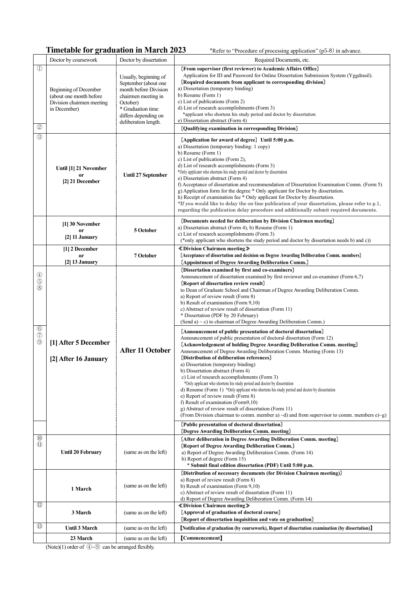### **Timetable for graduation in March 2023** \*Refer to "Procedure of processing application" (p5-8) in advance.

|                                                                                          | Doctor by coursework                                                                          | Doctor by dissertation                                                                                                                                                         | Required Documents, etc.                                                                                                                                                                                                                                                                                                                                                                                                                                                                                                                                                                                                                                                                                                                                                                                                                                                                                                                                                                                                                                                                                                                                                                                                                                                                                                                                                                                                                                                                                                                 |
|------------------------------------------------------------------------------------------|-----------------------------------------------------------------------------------------------|--------------------------------------------------------------------------------------------------------------------------------------------------------------------------------|------------------------------------------------------------------------------------------------------------------------------------------------------------------------------------------------------------------------------------------------------------------------------------------------------------------------------------------------------------------------------------------------------------------------------------------------------------------------------------------------------------------------------------------------------------------------------------------------------------------------------------------------------------------------------------------------------------------------------------------------------------------------------------------------------------------------------------------------------------------------------------------------------------------------------------------------------------------------------------------------------------------------------------------------------------------------------------------------------------------------------------------------------------------------------------------------------------------------------------------------------------------------------------------------------------------------------------------------------------------------------------------------------------------------------------------------------------------------------------------------------------------------------------------|
| $\left(1\right)$<br>(2)                                                                  | Beginning of December<br>(about one month before<br>Division chairmen meeting<br>in December) | Usually, beginning of<br>September (about one<br>month before Division<br>chairmen meeting in<br>October)<br>* Graduation time<br>differs depending on<br>deliberation length. | [From supervisor (first reviewer) to Academic Affairs Office]<br>Application for ID and Password for Online Dissertation Submission System (Yggdrasil).<br>[Required documents from applicant to corresponding division]<br>a) Dissertation (temporary binding)<br>b) Resume (Form 1)<br>c) List of publications (Form 2)<br>d) List of research accomplishments (Form 3)<br>*applicant who shortens his study period and doctor by dissertation<br>e) Dissertation abstract (Form 4)<br>[Qualifying examination in corresponding Division]                                                                                                                                                                                                                                                                                                                                                                                                                                                                                                                                                                                                                                                                                                                                                                                                                                                                                                                                                                                              |
| $\circled{3}$                                                                            | Until [1] 21 November<br><b>or</b><br>[2] 21 December                                         | <b>Until 27 September</b>                                                                                                                                                      | [Application for award of degree] Until 5:00 p.m.<br>a) Dissertation (temporary binding: 1 copy)<br>b) Resume (Form 1)<br>c) List of publications (Form 2),<br>d) List of research accomplishments (Form 3)<br>*Only applicant who shortens his study period and doctor by dissertation<br>e) Dissertation abstract (Form 4)<br>f) Acceptance of dissertation and recommendation of Dissertation Examination Comm. (Form 5)<br>g) Application form for the degree * Only applicant for Doctor by dissertation.<br>h) Receipt of examination fee * Only applicant for Doctor by dissertation.<br>*If you would like to delay the on-line publication of your dissertation, please refer to p.1,<br>regarding the publication delay procedure and additionally submit required documents.                                                                                                                                                                                                                                                                                                                                                                                                                                                                                                                                                                                                                                                                                                                                                  |
|                                                                                          | [1] 30 November<br>or<br>$[2]$ 11 January                                                     | 5 October                                                                                                                                                                      | [Documents needed for deliberation by Division Chairmen meeting]<br>a) Dissertation abstract (Form 4), b) Resume (Form 1)<br>c) List of research accomplishments (Form 3)<br>(*only applicant who shortens the study period and doctor by dissertation needs b) and c))                                                                                                                                                                                                                                                                                                                                                                                                                                                                                                                                                                                                                                                                                                                                                                                                                                                                                                                                                                                                                                                                                                                                                                                                                                                                  |
|                                                                                          | [1] 2 December<br><b>or</b><br>$[2]$ 13 January                                               | 7 October                                                                                                                                                                      | <b>≪Division Chairmen meeting》</b><br>[Acceptance of dissertation and decision on Degree Awarding Deliberation Comm. members]<br>[Appointment of Degree Awarding Deliberation Comm.]                                                                                                                                                                                                                                                                                                                                                                                                                                                                                                                                                                                                                                                                                                                                                                                                                                                                                                                                                                                                                                                                                                                                                                                                                                                                                                                                                     |
| $\circled{4}$<br>$\circledS$<br>(8)<br>$\circledcirc$<br>$\circled{7}$<br>$\circledcirc$ | [1] After 5 December<br>[2] After 16 January                                                  | <b>After 11 October</b>                                                                                                                                                        | [Dissertation examined by first and co-examiners]<br>Announcement of dissertation examined by first reviewer and co-examiner (Form 6,7)<br>[Report of dissertation review result]<br>to Dean of Graduate School and Chairman of Degree Awarding Deliberation Comm.<br>a) Report of review result (Form 8)<br>b) Result of examination (Form 9,10)<br>c) Abstract of review result of dissertation (Form 11)<br>* Dissertation (PDF by 20 February)<br>(Send a) $\sim$ c) to chairman of Degree Awarding Deliberation Comm.)<br>[Announcement of public presentation of doctoral dissertation]<br>Announcement of public presentation of doctoral dissertation (Form 12)<br>[Acknowledgement of holding Degree Awarding Deliberation Comm. meeting]<br>Announcement of Degree Awarding Deliberation Comm. Meeting (Form 13)<br>[Distribution of deliberation references]<br>a) Dissertation (temporary binding)<br>b) Dissertation abstract (Form 4)<br>c) List of research accomplishments (Form 3)<br>*Only applicant who shortens his study period and doctor by dissertation<br>d) Resume (Form 1) *Only applicant who shortens his study period and doctor by dissertation<br>e) Report of review result (Form 8)<br>f) Result of examination (Form9,10)<br>g) Abstract of review result of dissertation (Form 11)<br>(From Division chairman to comm. member a) $\sim$ d) and from supervisor to comm. members e $\rho$ $\sim$ g)<br>[Public presentation of doctoral dissertation]<br>[Degree Awarding Deliberation Comm. meeting] |
| $\left( 10 \right)$<br>$\textcircled{\scriptsize{1}}$                                    | Until 20 February                                                                             | (same as on the left)                                                                                                                                                          | [After deliberation in Degree Awarding Deliberation Comm. meeting]<br>[Report of Degree Awarding Deliberation Comm.]<br>a) Report of Degree Awarding Deliberation Comm. (Form 14)<br>b) Report of degree (Form 15)<br>* Submit final edition dissertation (PDF) Until 5:00 p.m.                                                                                                                                                                                                                                                                                                                                                                                                                                                                                                                                                                                                                                                                                                                                                                                                                                                                                                                                                                                                                                                                                                                                                                                                                                                          |
|                                                                                          | 1 March                                                                                       | (same as on the left)                                                                                                                                                          | [Distribution of necessary documents (for Division Chairmen meeting)]<br>a) Report of review result (Form 8)<br>b) Result of examination (Form 9,10)<br>c) Abstract of review result of dissertation (Form 11)<br>d) Report of Degree Awarding Deliberation Comm. (Form 14)                                                                                                                                                                                                                                                                                                                                                                                                                                                                                                                                                                                                                                                                                                                                                                                                                                                                                                                                                                                                                                                                                                                                                                                                                                                              |
| $\left( 12\right)$                                                                       | 3 March                                                                                       | (same as on the left)                                                                                                                                                          | <b>≪Division Chairmen meeting》</b><br>[Approval of graduation of doctoral course]<br>[Report of dissertation inquisition and vote on graduation]                                                                                                                                                                                                                                                                                                                                                                                                                                                                                                                                                                                                                                                                                                                                                                                                                                                                                                                                                                                                                                                                                                                                                                                                                                                                                                                                                                                         |
| (13)                                                                                     | Until 3 March                                                                                 | (same as on the left)                                                                                                                                                          | [Notification of graduation (by coursework), Report of dissertation examination (by dissertation)]                                                                                                                                                                                                                                                                                                                                                                                                                                                                                                                                                                                                                                                                                                                                                                                                                                                                                                                                                                                                                                                                                                                                                                                                                                                                                                                                                                                                                                       |
|                                                                                          | 23 March                                                                                      | (same as on the left)                                                                                                                                                          | [Commencement]                                                                                                                                                                                                                                                                                                                                                                                                                                                                                                                                                                                                                                                                                                                                                                                                                                                                                                                                                                                                                                                                                                                                                                                                                                                                                                                                                                                                                                                                                                                           |

(Note)(1) order of  $\overline{4}$   $\sim$   $\overline{9}$  can be arranged flexibly.